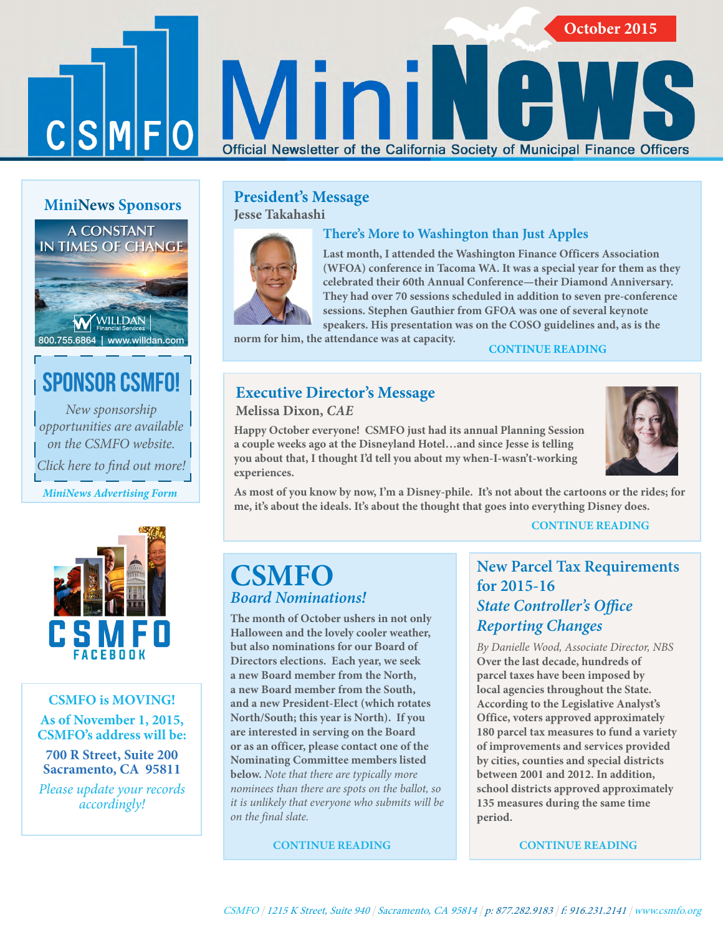# $C|S|M|F|O$

# **MiniNews Sponsors**

# **A CONSTANT [IN TIMES OF CHANGE](http://willdan.com/financial/)**

# .<br>WILLDAN 800.755.6864 | www.willdan.com

# [Sponsor CSMFO!](http://www.csmfo.org/mininews/news/mininews-advertising/)

*New sponsorship opportunities are available on the CSMFO website. Click here to find out more!*

*MiniNews Advertising Form*



# **CSMFO is MOVING!**

### **As of November 1, 2015, CSMFO's address will be:**

# **700 R Street, Suite 200 Sacramento, CA 95811**

*[Please update your records](http://ocs.landsend.com/cd/frontdoor?store_name=csmfo&store_type=3)  accordingly!*

# **[President's Message](http://www.csmfo.org/mininews/october-2015-mininews/#president) Jesse Takahashi**



# **There's More to Washington than Just Apples**

Official Newsletter of the California Society of Municipal Finance Officers

**Last month, I attended the Washington Finance Officers Association [\(WFOA\) conference in Tacoma WA. It was a special year for them as they](http://www.csmfo.org/mininews/october-2015-mininews/#president)  celebrated their 60th Annual Conference—their Diamond Anniversary. They had over 70 sessions scheduled in addition to seven pre-conference sessions. Stephen Gauthier from GFOA was one of several keynote speakers. His presentation was on the COSO guidelines and, as is the** 

**norm for him, the attendance was at capacity. CONTINUE READING**

# **[Executive Director's Message](http://www.csmfo.org/mininews/october-2015-mininews/#director)**

**Melissa Dixon,** *CAE*

**Happy October everyone! CSMFO just had its annual Planning Session a couple weeks ago at the Disneyland Hotel…and since Jesse is telling you about that, I thought I'd tell you about my when-I-wasn't-working experiences.** 



**October 2015 October 2015**

**[As most of you know by now, I'm a Disney-phile. It's not about the cartoons or the rides; for](http://www.csmfo.org/mininews/october-2015-mininews/#director)  me, it's about the ideals. It's about the thought that goes into everything Disney does.**

### **CONTINUE READING**

# **[CSMFO](http://www.csmfo.org/mininews/october-2015-mininews/#nominations)**  *Board Nominations!*

**The month of October ushers in not only Halloween and the lovely cooler weather, but also nominations for our Board of Directors elections. Each year, we seek a new Board member from the North, a new Board member from the South, and a new President-Elect (which rotates North/South; this year is North). If you are interested in serving on the Board or as an officer, please contact one of the Nominating Committee members listed below.** *Note that there are typically more nominees than there are spots on the ballot, so it is unlikely that everyone who submits will be on the final slate.* 

**CONTINUE READING**

# **[New Parcel Tax Requirements](http://www.csmfo.org/mininews/october-2015-mininews/#newparcel)  for 2015-16**  *State Controller's Office Reporting Changes*

*By Danielle Wood, Associate Director, NBS* **Over the last decade, hundreds of parcel taxes have been imposed by local agencies throughout the State. According to the Legislative Analyst's Office, voters approved approximately 180 parcel tax measures to fund a variety of improvements and services provided by cities, counties and special districts between 2001 and 2012. In addition, school districts approved approximately 135 measures during the same time period.** 

 **CONTINUE READING**